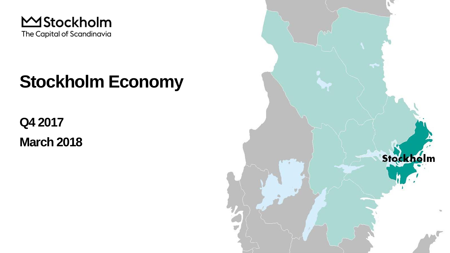

## **Stockholm Economy**

**Q4 2017**

**March 2018**

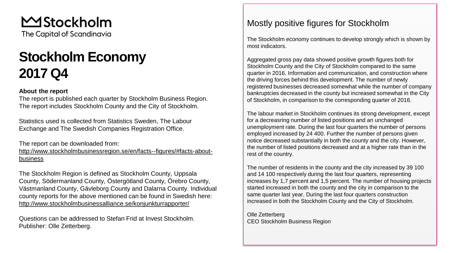MStockholm The Capital of Scandinavia

### **Stockholm Economy 2017 Q4**

#### **About the report**

The report is published each quarter by Stockholm Business Region. The report includes Stockholm County and the City of Stockholm.

Statistics used is collected from Statistics Sweden, The Labour Exchange and The Swedish Companies Registration Office.

The report can be downloaded from: [http://www.stockholmbusinessregion.se/en/facts--figures/#facts-about](http://www.stockholmbusinessregion.se/en/facts--figures/#facts-about-business)business

The Stockholm Region is defined as Stockholm County, Uppsala County, Södermanland County, Östergötland County, Örebro County, Västmanland County, Gävleborg County and Dalarna County. Individual county reports for the above mentioned can be found in Swedish here: <http://www.stockholmbusinessalliance.se/konjunkturrapporter/>

Questions can be addressed to Stefan Frid at Invest Stockholm. Publisher: Olle Zetterberg.

#### Mostly positive figures for Stockholm

The Stockholm economy continues to develop strongly which is shown by most indicators.

Aggregated gross pay data showed positive growth figures both for Stockholm County and the City of Stockholm compared to the same quarter in 2016. Information and communication, and construction where the driving forces behind this development. The number of newly registered businesses decreased somewhat while the number of company bankruptcies decreased in the county but increased somewhat in the City of Stockholm, in comparison to the corresponding quarter of 2016.

The labour market in Stockholm continues its strong development, except for a decreasring number of listed positions and an unchanged unemployment rate*.* During the last four quarters the number of persons employed increased by 24 400. Further the number of persons given notice decreased substantially in both the county and the city. However, the number of listed positions decreased and at a higher rate than in the rest of the country.

The number of residents in the county and the city increased by 39 100 and 14 100 respectively during the last four quarters, representing increases by 1,7 percent and 1,5 percent. The number of housing projects started increased in both the county and the city in comparison to the same quarter last year. During the last four quarters construction increased in both the Stockholm County and the City of Stockholm.

Olle Zetterberg CEO Stockholm Business Region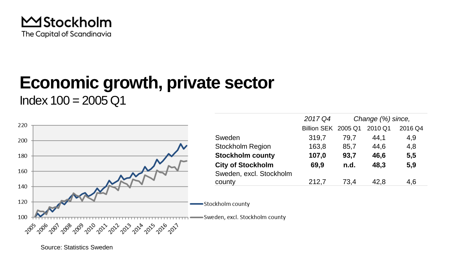

# **Economic growth, private sector**

 $Index 100 = 2005 Q1$ 

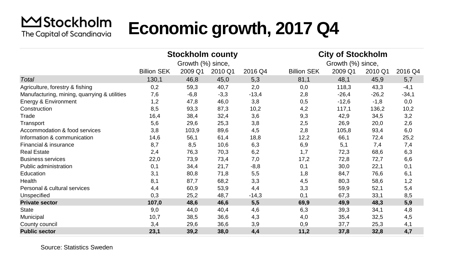#### **MStockholm Economic growth, 2017 Q4** The Capital of Scandinavia

|                                              |                    | <b>Stockholm county</b> |         |         | <b>City of Stockholm</b> |         |         |         |
|----------------------------------------------|--------------------|-------------------------|---------|---------|--------------------------|---------|---------|---------|
|                                              | Growth (%) since,  |                         |         |         | Growth (%) since,        |         |         |         |
|                                              | <b>Billion SEK</b> | 2009 Q1                 | 2010 Q1 | 2016 Q4 | <b>Billion SEK</b>       | 2009 Q1 | 2010 Q1 | 2016 Q4 |
| Total                                        | 130,1              | 46,8                    | 45,0    | 5,3     | 81,1                     | 48,1    | 45,9    | 5,7     |
| Agriculture, forestry & fishing              | 0,2                | 59,3                    | 40,7    | 2,0     | 0,0                      | 118,3   | 43,3    | $-4,1$  |
| Manufacturing, mining, quarrying & utilities | 7,6                | $-6,8$                  | $-3,3$  | $-13,4$ | 2,8                      | $-26,4$ | $-26,2$ | $-34,1$ |
| Energy & Environment                         | 1,2                | 47,8                    | 46,0    | 3,8     | 0,5                      | $-12,6$ | $-1,8$  | 0,0     |
| Construction                                 | 8,5                | 93,3                    | 87,3    | 10,2    | 4,2                      | 117,1   | 136,2   | 10,2    |
| Trade                                        | 16,4               | 38,4                    | 32,4    | 3,6     | 9,3                      | 42,9    | 34,5    | 3,2     |
| Transport                                    | 5,6                | 29,6                    | 25,3    | 3,8     | 2,5                      | 26,9    | 20,0    | 2,6     |
| Accommodation & food services                | 3,8                | 103,9                   | 89,6    | 4,5     | 2,8                      | 105,8   | 93,4    | 6,0     |
| Information & communication                  | 14,6               | 56,1                    | 61,4    | 18,8    | 12,2                     | 66,1    | 72,4    | 25,2    |
| Financial & insurance                        | 8,7                | 8,5                     | 10,6    | 6,3     | 6,9                      | 5,1     | 7,4     | 7,4     |
| <b>Real Estate</b>                           | 2,4                | 76,3                    | 70,3    | 6,2     | 1,7                      | 72,3    | 68,6    | 6,3     |
| <b>Business services</b>                     | 22,0               | 73,9                    | 73,4    | 7,0     | 17,2                     | 72,8    | 72,7    | 6,6     |
| Public administration                        | 0,1                | 34,4                    | 21,7    | $-8,8$  | 0,1                      | 30,0    | 22,1    | 0,1     |
| Education                                    | 3,1                | 80,8                    | 71,8    | 5,5     | 1,8                      | 84,7    | 76,6    | 6,1     |
| Health                                       | 8,1                | 87,7                    | 68,2    | 3,3     | 4,5                      | 80,3    | 58,6    | 1,2     |
| Personal & cultural services                 | 4,4                | 60,9                    | 53,9    | 4,4     | 3,3                      | 59,9    | 52,1    | 5,4     |
| Unspecified                                  | 0,3                | 25,2                    | 48,7    | $-14,3$ | 0,1                      | 67,3    | 33,1    | 8,5     |
| <b>Private sector</b>                        | 107,0              | 48,6                    | 46,6    | 5,5     | 69,9                     | 49,9    | 48,3    | 5,9     |
| State                                        | 9,0                | 44,0                    | 40,4    | 4,6     | 6,3                      | 39,3    | 34,1    | 4,8     |
| Municipal                                    | 10,7               | 38,5                    | 36,6    | 4,3     | 4,0                      | 35,4    | 32,5    | 4,5     |
| County council                               | 3,4                | 29,6                    | 36,6    | 3,9     | 0,9                      | 37,7    | 25,3    | 4,1     |
| <b>Public sector</b>                         | 23,1               | 39,2                    | 38,0    | 4,4     | 11,2                     | 37,8    | 32,8    | 4,7     |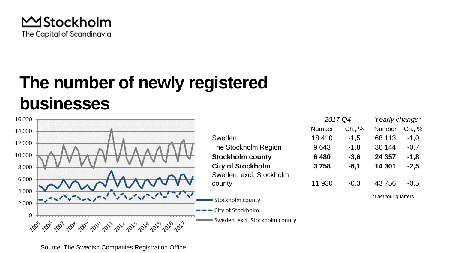

## **The number of newly registered businesses**



Source: The Swedish Companies Registration Office.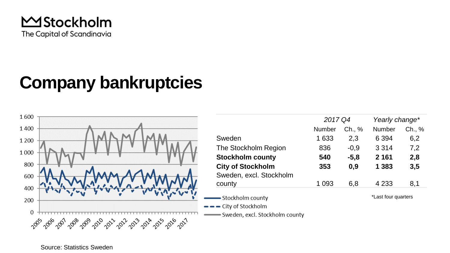

### **Company bankruptcies**

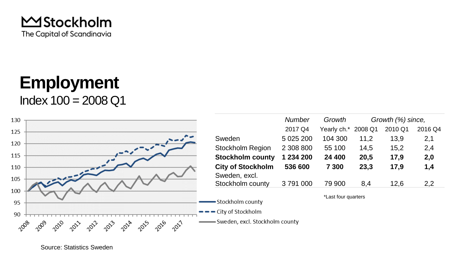

### **Employment**  $Index 100 = 2008 Q1$

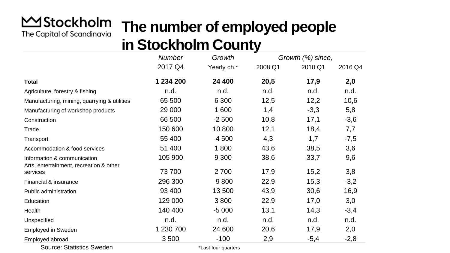#### **MStockholm The number of employed people** The Capital of Scandinavia **in Stockholm County**

|                                                                        | ⋍             |             |                   |         |         |  |  |  |  |
|------------------------------------------------------------------------|---------------|-------------|-------------------|---------|---------|--|--|--|--|
|                                                                        | <b>Number</b> | Growth      | Growth (%) since, |         |         |  |  |  |  |
|                                                                        | 2017 Q4       | Yearly ch.* | 2008 Q1           | 2010 Q1 | 2016 Q4 |  |  |  |  |
| <b>Total</b>                                                           | 1 234 200     | 24 400      | 20,5              | 17,9    | 2,0     |  |  |  |  |
| Agriculture, forestry & fishing                                        | n.d.          | n.d.        | n.d.              | n.d.    | n.d.    |  |  |  |  |
| Manufacturing, mining, quarrying & utilities                           | 65 500        | 6 3 0 0     | 12,5              | 12,2    | 10,6    |  |  |  |  |
| Manufacturing of workshop products                                     | 29 000        | 1 600       | 1,4               | $-3,3$  | 5,8     |  |  |  |  |
| Construction                                                           | 66 500        | $-2500$     | 10,8              | 17,1    | $-3,6$  |  |  |  |  |
| Trade                                                                  | 150 600       | 10800       | 12,1              | 18,4    | 7,7     |  |  |  |  |
| Transport                                                              | 55 400        | $-4500$     | 4,3               | 1,7     | $-7,5$  |  |  |  |  |
| Accommodation & food services                                          | 51 400        | 1800        | 43,6              | 38,5    | 3,6     |  |  |  |  |
| Information & communication<br>Arts, entertainment, recreation & other | 105 900       | 9 3 0 0     | 38,6              | 33,7    | 9,6     |  |  |  |  |
| services                                                               | 73 700        | 2700        | 17,9              | 15,2    | 3,8     |  |  |  |  |
| Financial & insurance                                                  | 296 300       | $-9800$     | 22,9              | 15,3    | $-3,2$  |  |  |  |  |
| Public administration                                                  | 93 400        | 13 500      | 43,9              | 30,6    | 16,9    |  |  |  |  |
| Education                                                              | 129 000       | 3800        | 22,9              | 17,0    | 3,0     |  |  |  |  |
| Health                                                                 | 140 400       | $-5000$     | 13,1              | 14,3    | $-3,4$  |  |  |  |  |
| Unspecified                                                            | n.d.          | n.d.        | n.d.              | n.d.    | n.d.    |  |  |  |  |
| <b>Employed in Sweden</b>                                              | 1 230 700     | 24 600      | 20,6              | 17,9    | 2,0     |  |  |  |  |
| Employed abroad                                                        | 3500          | $-100$      | 2,9               | $-5,4$  | $-2,8$  |  |  |  |  |

Source: Statistics Sweden

\*Last four quarters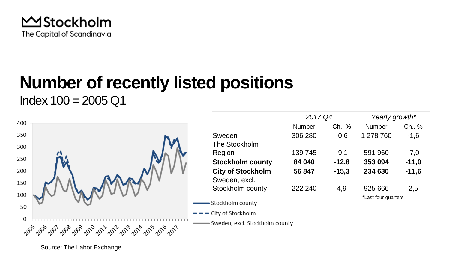

## **Number of recently listed positions**

 $Index 100 = 2005 Q1$ 



Source: The Labor Exchange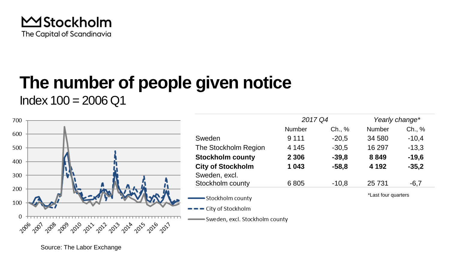

### **The number of people given notice**  $Index 100 = 2006 Q1$



Source: The Labor Exchange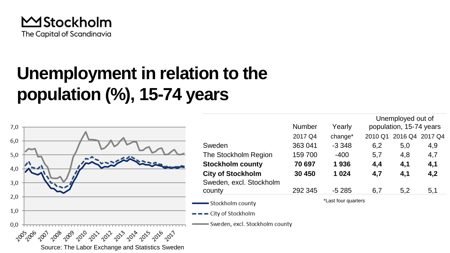

## **Unemployment in relation to the population (%), 15-74 years**

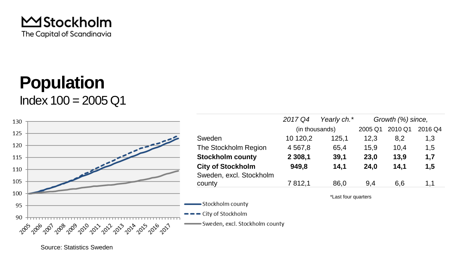

### **Population**  $Index 100 = 2005 Q1$

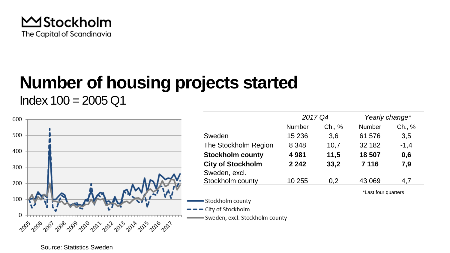

## **Number of housing projects started**

 $Index 100 = 2005 Q1$ 

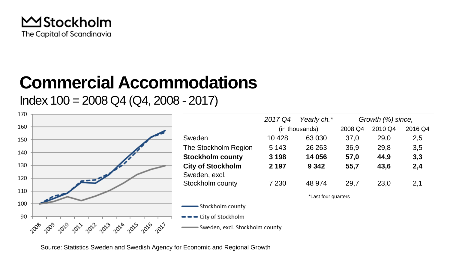

### **Commercial Accommodations**

Index  $100 = 2008$  Q4 (Q4, 2008 - 2017)



Source: Statistics Sweden and Swedish Agency for Economic and Regional Growth